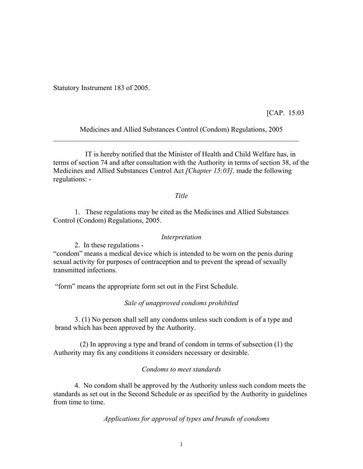Statutory Instrument 183 of 2005.

[CAP. 15:03

Medicines and Allied Substances Control (Condom) Regulations, 2005

 IT is hereby notified that the Minister of Health and Child Welfare has, in terms of section 74 and after consultation with the Authority in terms of section 38, of the Medicines and Allied Substances Control Act *[Chapter 15:03],* made the following regulations: -

*Title*

1. These regulations may be cited as the Medicines and Allied Substances Control (Condom) Regulations, 2005.

#### *Interpretation*

2. In these regulations -

"condom" means a medical device which is intended to be worn on the penis during sexual activity for purposes of contraception and to prevent the spread of sexually transmitted infections.

"form" means the appropriate form set out in the First Schedule.

#### *Sale of unapproved condoms prohibited*

3. (1) No person shall sell any condoms unless such condom is of a type and brand which has been approved by the Authority.

 (2) In approving a type and brand of condom in terms of subsection (1) the Authority may fix any conditions it considers necessary or desirable.

### *Condoms to meet standards*

4. No condom shall be approved by the Authority unless such condom meets the standards as set out in the Second Schedule or as specified by the Authority in guidelines from time to time.

*Applications for approval of types and brands of condoms*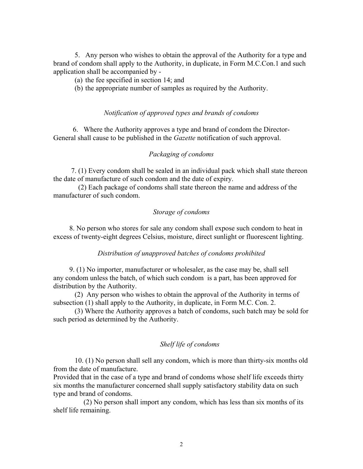5. Any person who wishes to obtain the approval of the Authority for a type and brand of condom shall apply to the Authority, in duplicate, in Form M.C.Con.1 and such application shall be accompanied by -

- (a) the fee specified in section 14; and
- (b) the appropriate number of samples as required by the Authority.

### *Notification of approved types and brands of condoms*

6.Where the Authority approves a type and brand of condom the Director-General shall cause to be published in the *Gazette* notification of such approval.

## *Packaging of condoms*

 7. (1) Every condom shall be sealed in an individual pack which shall state thereon the date of manufacture of such condom and the date of expiry.

 (2) Each package of condoms shall state thereon the name and address of the manufacturer of such condom.

## *Storage of condoms*

 8. No person who stores for sale any condom shall expose such condom to heat in excess of twenty-eight degrees Celsius, moisture, direct sunlight or fluorescent lighting.

#### *Distribution of unapproved batches of condoms prohibited*

 9. (1) No importer, manufacturer or wholesaler, as the case may be, shall sell any condom unless the batch, of which such condom is a part, has been approved for distribution by the Authority.

(2) Any person who wishes to obtain the approval of the Authority in terms of subsection (1) shall apply to the Authority, in duplicate, in Form M.C. Con. 2.

(3) Where the Authority approves a batch of condoms, such batch may be sold for such period as determined by the Authority.

### *Shelf life of condoms*

 10. (1) No person shall sell any condom, which is more than thirty-six months old from the date of manufacture.

Provided that in the case of a type and brand of condoms whose shelf life exceeds thirty six months the manufacturer concerned shall supply satisfactory stability data on such type and brand of condoms.

 (2) No person shall import any condom, which has less than six months of its shelf life remaining.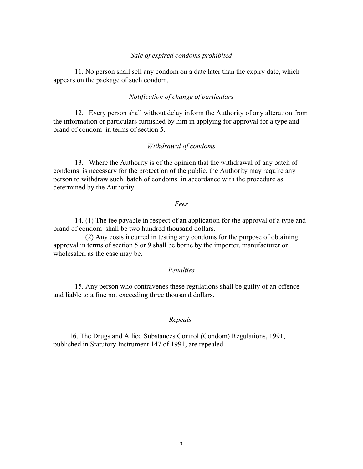#### *Sale of expired condoms prohibited*

 11. No person shall sell any condom on a date later than the expiry date, which appears on the package of such condom.

### *Notification of change of particulars*

12. Every person shall without delay inform the Authority of any alteration from the information or particulars furnished by him in applying for approval for a type and brand of condom in terms of section 5.

## *Withdrawal of condoms*

13. Where the Authority is of the opinion that the withdrawal of any batch of condoms is necessary for the protection of the public, the Authority may require any person to withdraw such batch of condoms in accordance with the procedure as determined by the Authority.

#### *Fees*

14. (1) The fee payable in respect of an application for the approval of a type and brand of condom shall be two hundred thousand dollars.

 (2) Any costs incurred in testing any condoms for the purpose of obtaining approval in terms of section 5 or 9 shall be borne by the importer, manufacturer or wholesaler, as the case may be.

### *Penalties*

15. Any person who contravenes these regulations shall be guilty of an offence and liable to a fine not exceeding three thousand dollars.

### *Repeals*

 16. The Drugs and Allied Substances Control (Condom) Regulations, 1991, published in Statutory Instrument 147 of 1991, are repealed.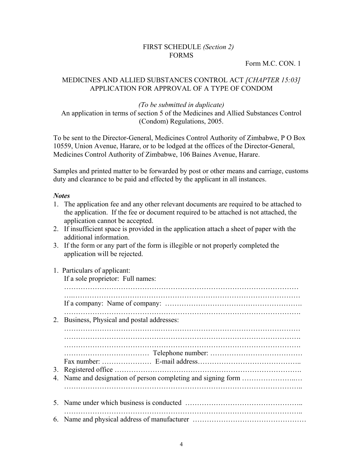# FIRST SCHEDULE *(Section 2)* FORMS

Form M.C. CON. 1

# MEDICINES AND ALLIED SUBSTANCES CONTROL ACT *[CHAPTER 15:03]*  APPLICATION FOR APPROVAL OF A TYPE OF CONDOM

# *(To be submitted in duplicate)*

An application in terms of section 5 of the Medicines and Allied Substances Control (Condom) Regulations, 2005.

To be sent to the Director-General, Medicines Control Authority of Zimbabwe, P O Box 10559, Union Avenue, Harare, or to be lodged at the offices of the Director-General, Medicines Control Authority of Zimbabwe, 106 Baines Avenue, Harare.

Samples and printed matter to be forwarded by post or other means and carriage, customs duty and clearance to be paid and effected by the applicant in all instances.

# *Notes*

- 1. The application fee and any other relevant documents are required to be attached to the application. If the fee or document required to be attached is not attached, the application cannot be accepted.
- 2. If insufficient space is provided in the application attach a sheet of paper with the additional information.
- 3. If the form or any part of the form is illegible or not properly completed the application will be rejected.

|          | 1. Particulars of applicant:<br>If a sole proprietor: Full names: |
|----------|-------------------------------------------------------------------|
|          |                                                                   |
| 2.       | Business, Physical and postal addresses:                          |
| 3.<br>4. |                                                                   |
|          |                                                                   |
|          |                                                                   |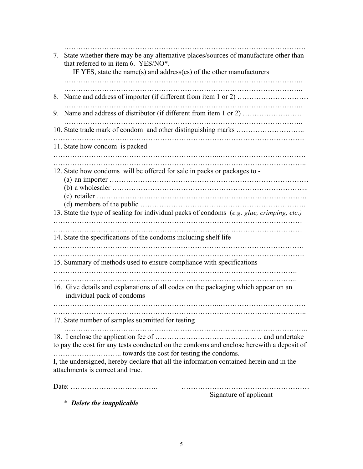| 7. | State whether there may be any alternative places/sources of manufacture other than<br>that referred to in item 6. YES/NO*.<br>IF YES, state the name(s) and address(es) of the other manufacturers<br>.                |
|----|-------------------------------------------------------------------------------------------------------------------------------------------------------------------------------------------------------------------------|
| 8. |                                                                                                                                                                                                                         |
| 9. |                                                                                                                                                                                                                         |
|    |                                                                                                                                                                                                                         |
|    | 11. State how condom is packed                                                                                                                                                                                          |
|    | 12. State how condoms will be offered for sale in packs or packages to -<br>13. State the type of sealing for individual packs of condoms (e.g. glue, crimping, etc.)                                                   |
|    | 14. State the specifications of the condoms including shelf life                                                                                                                                                        |
|    | 15. Summary of methods used to ensure compliance with specifications                                                                                                                                                    |
|    | 16. Give details and explanations of all codes on the packaging which appear on an<br>individual pack of condoms<br>.                                                                                                   |
|    | 17. State number of samples submitted for testing                                                                                                                                                                       |
|    | to pay the cost for any tests conducted on the condoms and enclose herewith a deposit of<br>I, the undersigned, hereby declare that all the information contained herein and in the<br>attachments is correct and true. |
|    | Signature of applicant                                                                                                                                                                                                  |

\* *Delete the inapplicable*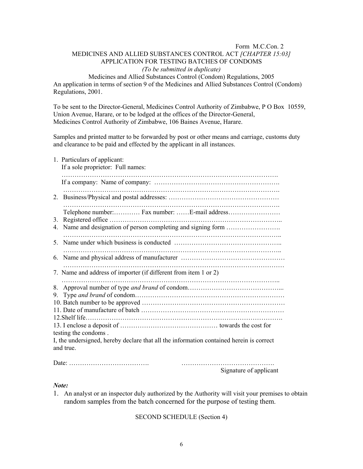# Form M.C.Con. 2 MEDICINES AND ALLIED SUBSTANCES CONTROL ACT *[CHAPTER 15:03]* APPLICATION FOR TESTING BATCHES OF CONDOMS *(To be submitted in duplicate)*

Medicines and Allied Substances Control (Condom) Regulations, 2005 An application in terms of section 9 of the Medicines and Allied Substances Control (Condom) Regulations, 2001.

To be sent to the Director-General, Medicines Control Authority of Zimbabwe, P O Box 10559, Union Avenue, Harare, or to be lodged at the offices of the Director-General, Medicines Control Authority of Zimbabwe, 106 Baines Avenue, Harare.

Samples and printed matter to be forwarded by post or other means and carriage, customs duty and clearance to be paid and effected by the applicant in all instances.

| 1. Particulars of applicant:<br>If a sole proprietor: Full names: |                                                                                                      |  |  |  |
|-------------------------------------------------------------------|------------------------------------------------------------------------------------------------------|--|--|--|
|                                                                   |                                                                                                      |  |  |  |
| 2.                                                                |                                                                                                      |  |  |  |
| 3.                                                                | Telephone number: Fax number: E-mail address                                                         |  |  |  |
| 4.                                                                |                                                                                                      |  |  |  |
| 5.                                                                |                                                                                                      |  |  |  |
| 6.                                                                |                                                                                                      |  |  |  |
| 7. Name and address of importer (if different from item 1 or 2)   |                                                                                                      |  |  |  |
| 8.<br>9.                                                          |                                                                                                      |  |  |  |
|                                                                   |                                                                                                      |  |  |  |
|                                                                   |                                                                                                      |  |  |  |
|                                                                   |                                                                                                      |  |  |  |
|                                                                   | testing the condoms.                                                                                 |  |  |  |
|                                                                   | I, the undersigned, hereby declare that all the information contained herein is correct<br>and true. |  |  |  |

| $\mathcal{L}$ consistence of consistence |
|------------------------------------------|

Signature of applicant

*Note:* 

1. An analyst or an inspector duly authorized by the Authority will visit your premises to obtain random samples from the batch concerned for the purpose of testing them.

SECOND SCHEDULE (Section 4)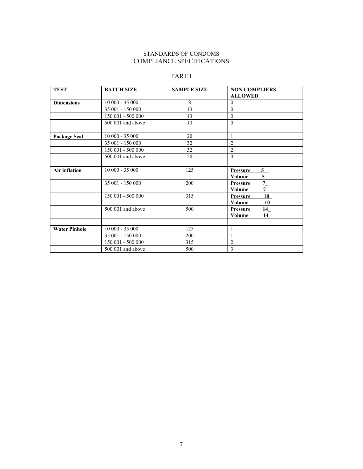### STANDARDS OF CONDOMS COMPLIANCE SPECIFICATIONS

# PART I

| <b>TEST</b>          | <b>BATCH SIZE</b> | <b>SAMPLE SIZE</b> | <b>NON COMPLIERS</b>               |
|----------------------|-------------------|--------------------|------------------------------------|
|                      |                   |                    | <b>ALLOWED</b>                     |
| <b>Dimensions</b>    | $10000 - 35000$   | 8                  | $\Omega$                           |
|                      | 35 001 - 150 000  | 13                 | $\theta$                           |
|                      | 150 001 - 500 000 | 13                 | $\theta$                           |
|                      | 500 001 and above | 13                 | $\theta$                           |
|                      |                   |                    |                                    |
| <b>Package Seal</b>  | $10000 - 35000$   | 20                 | 1                                  |
|                      | 35 001 - 150 000  | 32                 | $\overline{2}$                     |
|                      | 150 001 - 500 000 | 32                 | $\overline{2}$                     |
|                      | 500 001 and above | 50                 | 3                                  |
|                      |                   |                    |                                    |
| <b>Air inflation</b> | $10000 - 35000$   | 125                | 5 <sub>1</sub><br><b>Pressure</b>  |
|                      |                   |                    | 5<br>Volume                        |
|                      | 35 001 - 150 000  | 200                | $7\overline{ }$<br><b>Pressure</b> |
|                      |                   |                    | $\overline{7}$<br>Volume           |
|                      | 150 001 - 500 000 | 315                | 10<br><b>Pressure</b>              |
|                      |                   |                    | 10<br>Volume                       |
|                      | 500 001 and above | 500                | 14<br><b>Pressure</b>              |
|                      |                   |                    | Volume<br>14                       |
|                      |                   |                    |                                    |
| <b>Water Pinhole</b> | $10000 - 35000$   | 125                |                                    |
|                      | 35 001 - 150 000  | 200                |                                    |
|                      | 150 001 - 500 000 | 315                | $\overline{2}$                     |
|                      | 500 001 and above | 500                | 3                                  |